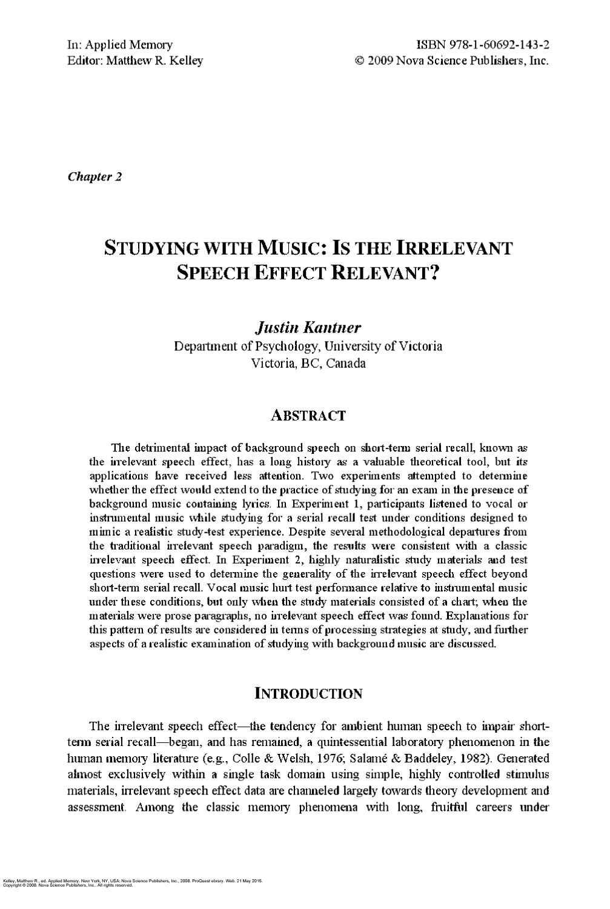In: Applied Memory Editor: Matthew R. Kelley

ISBN 978-1-60692-143-2 © 2009 Nova Science Publishers, Inc.

*Chapter 2*

# **Studying with Music: Is the Irrelevant Speech Effect Relevant?**

*Justin Kantner*

**Department of Psychology, University of Victoria Victoria, BC, Canada**

#### **ABSTRACT**

The detrimental impact of background speech on short-term serial recall, known as **the irrelevant speech effect, has a long history as a valuable theoretical tool, but its** applications have received less attention. Two experiments attempted to determine whether the effect would extend to the practice of studying for an exam in the presence of **background music containing lyrics. In Experiment 1, participants listened to vocal or instrumental music while studying for a serial recall test under conditions designed to mimic a realistic study-test experience. Despite several methodological departures from the traditional irrelevant speech paradigm, the results were consistent with a classic irrelevant speech effect. In Experiment 2, highly naturalistic study materials and test** questions were used to determine the generality of the irrelevant speech effect beyond **short-term serial recall. Vocal music hurt test performance relative to instrumental music** under these conditions, but only when the study materials consisted of a chart; when the **materials were prose paragraphs, no inelevant speech effect was found. Explanations for** this pattern of results are considered in terms of processing strategies at study, and further aspects of a realistic examination of studying with background music are discussed.

#### **INTRODUCTION**

The irrelevant speech effect—the tendency for ambient human speech to impair shortterm serial recall—began, and has remained, a quintessential laboratory phenomenon in the human memory literature (e.g., Colle & Welsh, 1976; Salamé & Baddeley, 1982). Generated almost exclusively within a single task domain using simple, highly controlled stimulus materials, irrelevant speech effect data are channeled largely towards theory development and assessment. Among the classic memory phenomena with long, fruitful careers under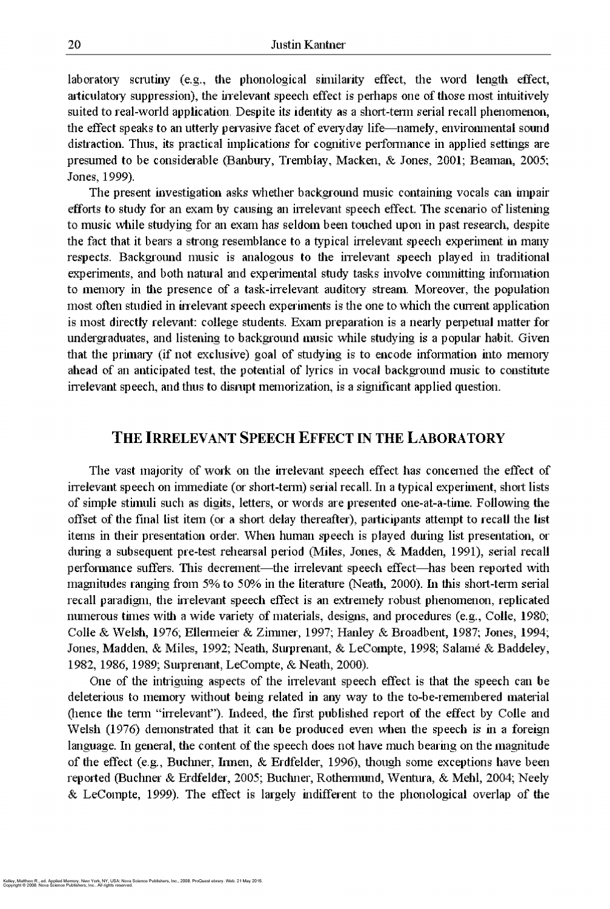laboratory scrutiny (e.g., the phonological similarity effect, the word length effect, articulatory suppression), the irrelevant speech effect is perhaps one of those most intuitively suited to real-world application. Despite its identity as a short-term serial recall phenomenon, the effect speaks to an utterly pervasive facet of everyday life—namely, environmental sound distraction. Thus, its practical implications for cognitive performance in applied settings are presumed to be considerable (Banbury, Tremblay, Macken, & Jones, 2001; Beaman, 2005; Jones, 1999).

The present investigation asks whether background music containing vocals can impair efforts to study for an exam by causing an irrelevant speech effect. The scenario of listening to music while studying for an exam has seldom been touched upon in past research, despite the fact that it bears a strong resemblance to a typical irrelevant speech experiment in many respects. Background music is analogous to the irrelevant speech played in traditional experiments, and both natural and experimental study tasks involve committing information to memory in the presence of a task-irrelevant auditory stream. Moreover, the population most often studied in irrelevant speech experiments is the one to which the current application is most directly relevant: college students. Exam preparation is a nearly perpetual matter for undergraduates, and listening to background music while studying is a popular habit. Given that the primary (if not exclusive) goal of studying is to encode information into memory ahead of an anticipated test, the potential of lyrics in vocal background music to constitute irrelevant speech, and thus to disrupt memorization, is a significant applied question.

### **THE IRRELEVANT SPEECH EFFECT IN THE LABORATORY**

The vast majority of work on the irrelevant speech effect has concerned the effect of irrelevant speech on immediate (or short-term) serial recall. In a typical experiment, short lists of simple stimuli such as digits, letters, or words are presented one-at-a-time. Following the offset of die final list item (or a short delay thereafter), participants attempt to recall the list items in their presentation order. When human speech is played during list presentation, or during a subsequent pre-test rehearsal period (Miles, Jones, & Madden, 1991), serial recall performance suffers. This decrement—die irrelevant speech effect—has been reported widi magnitudes ranging from 5% to 50% in die literature (Neath, 2000). In this short-term serial recall paradigm, the irrelevant speech effect is an extremely robust phenomenon, replicated numerous times with a wide variety of materials, designs, and procedures (e.g., Colie, 1980; Colle & Welsh, 1976; Ellemieier & Zimmer, 1997; Hanley & Broadbent, 1987; Jones, 1994, Jones, Madden, & Miles, 1992; Neath, Siuprenant, & LeCompte, 1998; Salame & Baddeley, 1982, 1986, 1989; Surprenant, LeCompte, & Neath, 2000). One of the intriguing aspects of the irrelevant speech effect is that the speech can be deleterious to memory widiout being related in any way to die to-be-remembered material (hence the term "irrelevant"). Indeed, the first published report of the effect by Colle and Welsh (1976) demonstrated that it can be produced even when the speech is in a foreign language. In general, the content of the speech does not have much bearing on the magnitude of die effect (e.g., Buchner, Linen, & Erdfelder, 1996), though some exceptions have been reported (Buchner & Erdfelder, 2005; Buchner, Rothermund, Wentura, & Mehl, 2004; Neely & LeCompte, 1999). The effect is largely indifferent to die phonological overlap of the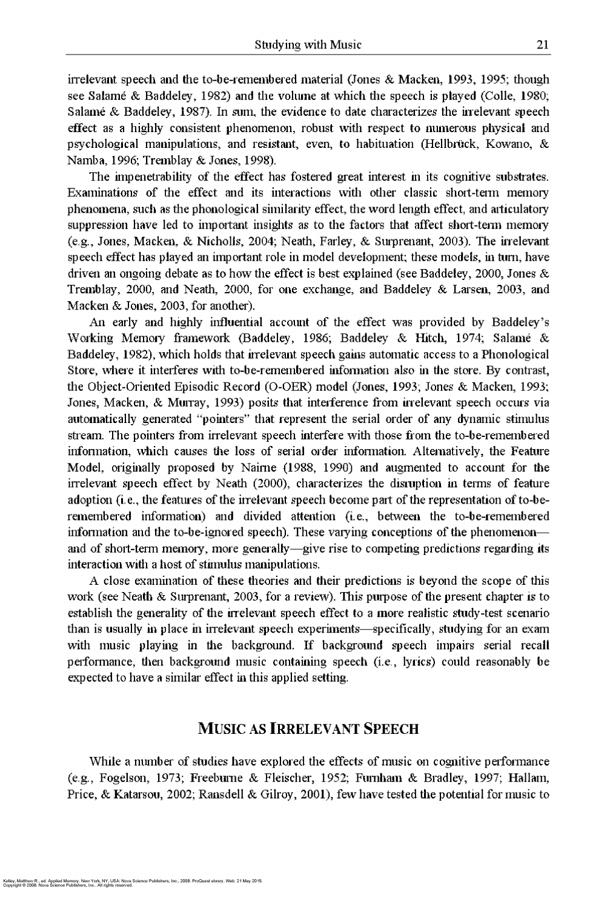The impenetrability of the effect has fostered great interest in its cognitive substrates. Examinations of the effect and its interactions with other classic short-term memory phenomena, such as the phonological similarity effect, die word length effect, and articulatory suppression have led to important insights as to die factors that affect short-term memory (e g., Jones, Macken, *Sc* Nicholls, 2004; Neath, Farley, *Sc* Surprenant, 2003). The irrelevant speech effect has played an important role in model development; these models, in turn, have driven an ongoing debate as to how die effect is best explained (see Baddeley, 2000, Jones *Sc* Tremblay, 2000, and Neath, 2000, for one exchange, and Baddeley *Sc* Larsen, 2003, and Macken & Jones, 2003, for another).

irrelevant speech and die to-be-remembered material (Jones *Sc* Macken, 1993, 1995; though see Salame & Baddeley, 1982) and the volume at which the speech is played (Colie, 1980; Salame *Sc* Baddeley, 1987), In sum, the evidence to date characterizes the irrelevant speech effect as a highly consistent phenomenon, robust with respect to numerous physical and psychological manipulations, and resistant, even, to habituation (Hellbruck, Kowano, *Sc* Namba, 1996; Tremblay *Sc* Jones, 1998).

A close examination of diese dieories and dieir predictions is beyond die scope of this work (see Neath & Surprenant, 2003, for a review). This purpose of the present chapter is to establish the generality of die irrelevant speech effect to a more realistic study-test scenario than is usually in place in irrelevant speech experiments—specifically, studying for an exam with music playing in the background. If background speech impairs serial recall performance, then background music containing speech (i.e., lyrics) could reasonably be expected to have a similar effect in this applied setting.

While a number of studies have explored die effects of music on cognitive perfonnance (eg., Fogelson, 1973; Freebume *Sc* Fleischer, 1952; Fumham *Sc* Bradley, 1997; Ha 11 am, Price, & Katarsou, 2002; Ransdell & Gilroy, 2001), few have tested the potential for music to

An early and highly influential account of the effect was provided by Baddeley's Working Memory framework (Baddeley, 1986; Baddeley & Hitch, 1974; Salame & Baddeley, 1982), which holds that irrelevant speech gains automatic access to a Phonological Store, where it interferes widi to-be-remembered information also in the store. By contrast, the Object-Oriented Episodic Record (O-OER) model (Jones, 1993; Jones & Macken, 1993; Jones, Macken, & Murray, 1993) posits that interference from irrelevant speech occurs via automatically generated "pointers" that represent the serial order of any dynamic stimulus stream. The pointers from irrelevant speech interfere with diose from die to-be-remembered information, which causes the loss of serial order information. Alternatively, the Feature Model, originally proposed by Naime (1988, 1990) and augmented to account for the irrelevant speech effect by Neath (2000), characterizes the disruption in terms of feature adoption (i.e., the features of the irrelevant speech become part of the representation of to-beremembered information) and divided attention (i.e., between the to-be-remembered information and the to-be-ignored speech). These varying conceptions of the phenomenon and of short-term memory, more generally—give rise to competing predictions regarding its interaction widi a host of stimulus manipulations.

## **MUSIC AS IRRELEVANT SPEECH**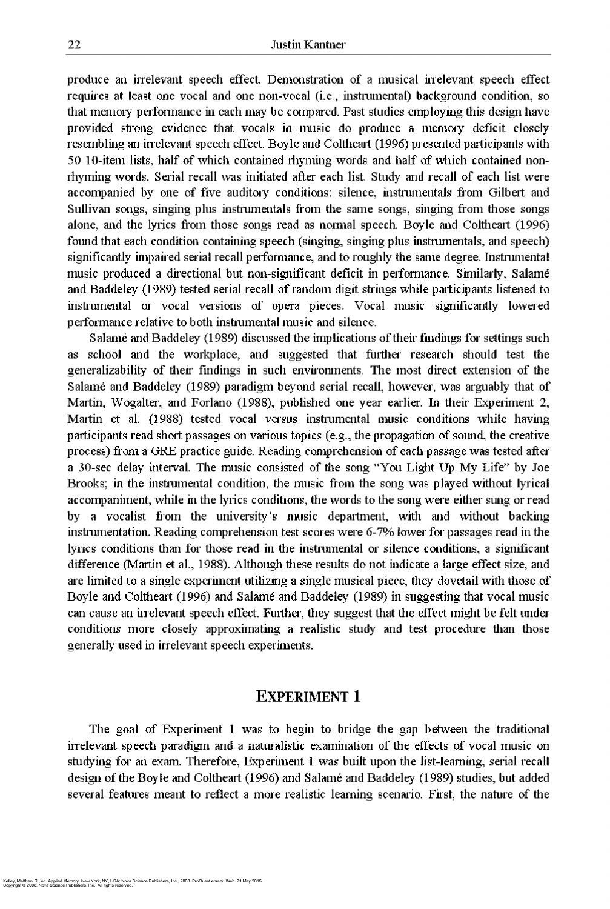produce an irrelevant speech effect. Demonstration of a musical irrelevant speech effect requires at least one vocal and one non-vocal (i.e., instrumental) background condition, so that memory performance in each may be compared. Past studies employing this design have provided strong evidence that vocals in music do produce a memory deficit closely resembling an irrelevant speech effect. Boyle and Coltheart (1996) presented participants with 50 10-item lists, half of which contained rhyming words and half of which contained nonrhyming words. Serial recall was initiated after each list. Study and recall of each list were accompanied by one of five auditory conditions: silence, instrumentals from Gilbert and Sullivan songs, singing plus instrumentals from the same songs, singing from those songs alone, and the lyrics from those songs read as normal speech. Boyle and Coltheart (1996) found that each condition containing speech (singing, singing plus instrumentals, and speech) significantly impaired serial recall performance, and to roughly the same degree. Instrumental music produced a directional but non-significant deficit in performance. Similarly, Salame and Baddeley (1989) tested serial recall of random digit strings while participants listened to instrumental or vocal versions of opera pieces. Vocal music significantly lowered performance relative to both instrumental music and silence.

Salame and Baddeley (1989) discussed the implications of their findings for settings such as school and the workplace, and suggested that further research should test the generalizability of their findings in such environments. The most direct extension of the Salame and Baddeley (1989) paradigm beyond serial recall, however, was arguably that of Martin, Wogalter, and Forlano (1988), published one year earlier. In their Experiment 2, Martin et al. (1988) tested vocal versus instrumental music conditions while having participants read short passages on various topics (e.g., the propagation of sound, the creative process) from a GRE practice guide. Reading comprehension of each passage was tested after a 30-sec delay interval. The music consisted of the song "You Light Up My Life" by Joe Brooks; in die instrumental condition, the music from the song was played widiout lyrical accompaniment, while in the lyrics conditions, the words to the song were either sung or read by a vocalist from the university's music department, widi and widiout backing instrumentation. Reading comprehension test scores were 6-7% lower for passages read in the lyrics conditions dian for those read in die instrumental or silence conditions, a significant difference (Martin et al., 1988). Although diese results do not indicate a large effect size, and are limited to a single experiment utilizing a single musical piece, they dovetail with those of Boyle and Coltheart (1996) and Salame and Baddeley (1989) in suggesting that vocal music can cause an irrelevant speech effect. Further, diey suggest that die effect might be felt under conditions more closely approximating a realistic study and test procedure than those generally used in irrelevant speech experiments.

## **EXPERIMENT 1**

The goal of Experiment 1 was to begin to bridge die gap between the traditional irrelevant speech paradigm and a naturalistic examination of die effects of vocal music on studying for an exam. Therefore, Experiment 1 was built upon die list-learning, serial recall design of die Boyle and Coltheart (1996) and Salame and Baddeley (1989) studies, but added several features meant to reflect a more realistic learning scenario. First, the nature of die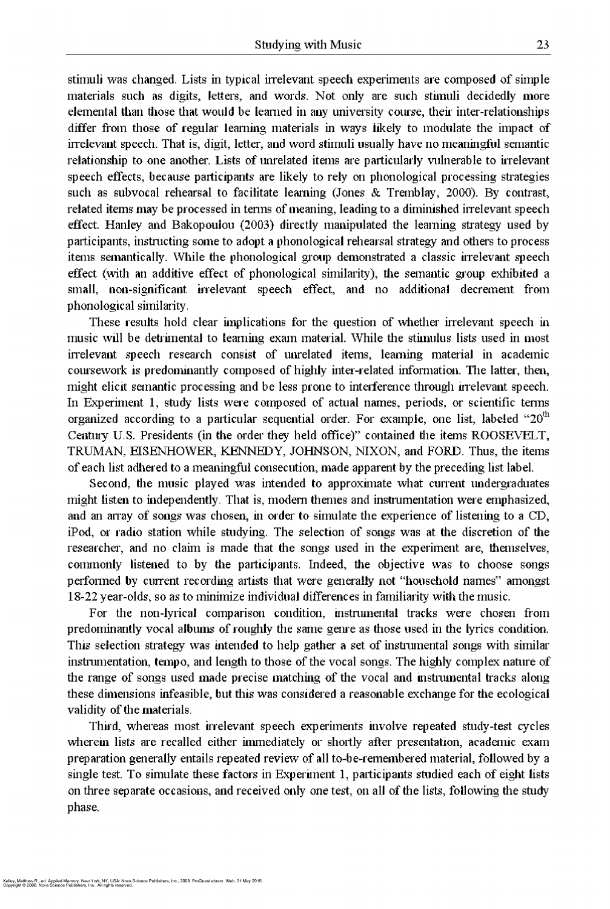stimuli was changed. Lists in typical irrelevant speech experiments are composed of simple materials such as digits, letters, and words. Not only are such stimuli decidedly more elemental than those that would be learned in any university course, their inter-relationships differ from those of regular learning materials in ways likely to modulate the impact of irrelevant speech. That is, digit, letter, and word stimuli usually have no meaningful semantic relationship to one another. Lists of unrelated items are particularly vulnerable to irrelevant speech effects, because participants are likely to rely on phonological processing strategies such as subvocal rehearsal to facilitate learning (Jones & Tremblay, 2000). By contrast, related items may be processed in tenns of meaning, leading to a diminished irrelevant speech effect. Hanley and Bakopouiou (2003) directly manipulated the learning strategy used by participants, instructing some to adopt a phonological rehearsal strategy and others to process items semantically. While the phonological group demonstrated a classic irrelevant speech effect (with an additive effect of phonological similarity), the semantic group exhibited a small, non-significant irrelevant speech effect, and no additional decrement from phonological similarity.

These results hold clear implications for the question of whether irrelevant speech in music will be detrimental to teaming exam material. While the stimulus lists used in most irrelevant speech research consist of unrelated items, learning material in academic coursework is predominantly composed of highly inter-related information. The latter, then, might elicit semantic processing and be less prone to interference through irrelevant speech. In Experiment 1, study lists were composed of actual names, periods, or scientific tenns organized according to a particular sequential order. For example, one list, labeled "20<sup>th</sup> Century U.S. Presidents (in the order they held office)" contained the items ROOSEVELT, TRUMAN, EISENHOWER, KENNEDY, JOHNSON, NIXON, and FORD. Thus, die items of each list adhered to a meaningful consecution, made apparent by the preceding list label

Second, die music played was intended to approximate what current undergraduates might listen to independently. That is, modem themes and instrumentation were emphasized, and an array of songs was chosen, in order to simulate the experience of listening to a CD, iPod, or radio station while studying. The selection of songs was at the discretion of the researcher, and no claim is made that the songs used in the experiment are, themselves, commonly listened to by the participants. Indeed, the objective was to choose songs performed by current recording artists diat were generally not "household names" amongst 18-22 year-olds, so as to minimize individual differences in familiarity with die music.

For die non-lyrical comparison condition, instrumental tracks were chosen from predominantly vocal albums of roughly the same genre as those used in the lyrics condition. This selection strategy was intended to help gather a set of instrumental songs with similar instrumentation, tempo, and length to those of the vocal songs. The highly complex nature of the range of songs used made precise matching of the vocal and instrumental tracks along these dimensions infeasible, but this was considered a reasonable exchange for the ecological validity of die materials.

Third, whereas most irrelevant speech experiments involve repeated study-test cycles wherein lists are recalled either immediately or shortly after presentation, academic exam preparation generally entails repeated review of all to-be-remembered material, followed by a single test. To simulate these factors in Experiment 1, participants studied each of eight lists on three separate occasions, and received only one test, on all of die lists, following die study phase.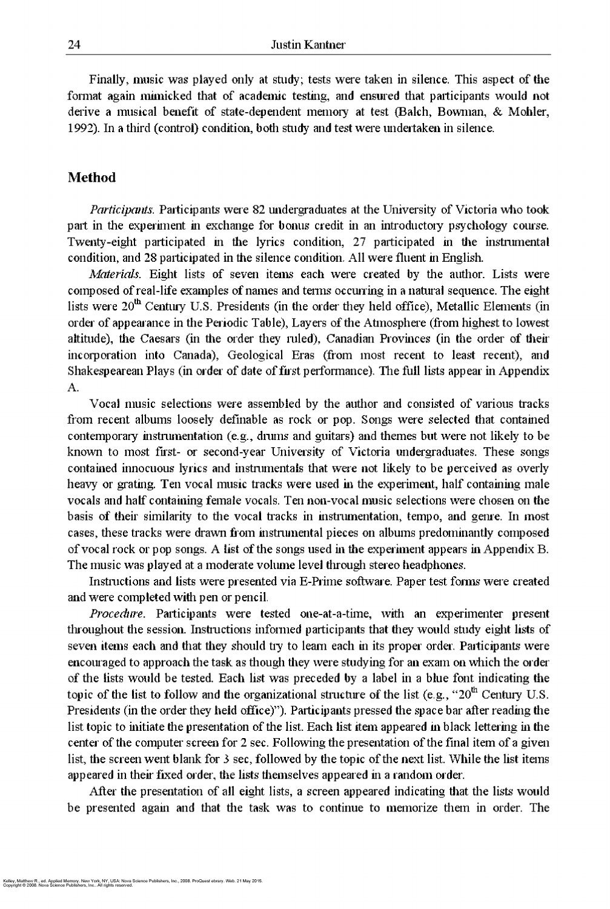Finally, music was played only at study; tests were taken in silence. This aspect of the format again mimicked that of academic testing, and ensured that participants would not derive a musical benefit of state-dependent memory at test {Balch, Bowman, & Mohler, 1992). In a third (control) condition, both study and test were undertaken in silence.

#### **Method**

*Participants.* Participants were 82 undergraduates at the University of Victoria who took part in the experiment in exchange for bonus credit in an introductoiy psychology course. Twenty-eight participated in the lyrics condition, 27 participated in the instrumental condition, and 28 participated in the silence condition. All were fluent in English.

*Materials.* Eight lists of seven items each were created by the author. Lists were composed of real-life examples of names and terms occurring in a natural sequence. The eight lists were  $20^{th}$  Century U.S. Presidents (in the order they held office), Metallic Elements (in order of appearance in the Periodic Table), Layers of the Atmosphere (from highest to lowest altitude), the Caesars (in the order they ruled), Canadian Provinces (in the order of their incorporation into Canada), Geological Eras (from most recent to least recent), and Shakespearean Plays (in order of date of fust performance). The full lists appear in Appendix A.

*Procedure*. Participants were tested one-at-a-time, with an experimenter present throughout the session. Instructions informed participants that they would study eight lists of seven items each and that they should try to learn each in its proper order. Participants were encouraged to approach the task as though they were studying for an exam on which the order of die lists would be tested. Each list was preceded by a label in a blue font indicating the topic of the list to follow and the organizational structure of the list (e.g., "20<sup>th</sup> Century U.S. Presidents (in the order they held office)"). Participants pressed the space bar after reading the list topic to initiate die presentation of the list. Each list item appeared in black lettering in die center of the computer screen for 2 sec. Following die presentation of the final item of a given list, the screen went blank for 3 sec, followed by the topic of the next list. While the list items appeared in their fixed order, die lists diemselves appeared in a random order.

After the presentation of all eight lists, a screen appeared indicating that the lists would be presented again and that die task was to continue to memorize diem in order. The

Vocal music selections were assembled by the author and consisted of various tracks from recent albums loosely definable as rock or pop. Songs were selected that contained contemporary instrumentation (e.g., drums and guitars) and themes but were not likely to be known to most first- or second-year University of Victoria undergraduates. These songs contained innocuous lyrics and instrumentals that were not likely to be perceived as overly heavy or grating. Ten vocal music tracks were used in the experiment, half containing male vocals and half containing female vocals. Ten non-vocal music selections were chosen on the basis of their similarity to the vocal tracks in instrumentation, tempo, and genre. In most cases, these tracks were drawn from instrumental pieces on albums predominantly composed of vocal rock or pop songs. A list of the songs used in the experiment appears in Appendix B. The music was played at a moderate volume level through stereo headphones.

Instructions and lists were presented via E-Prime software. Paper test fonns were created and were completed with pen or pencil.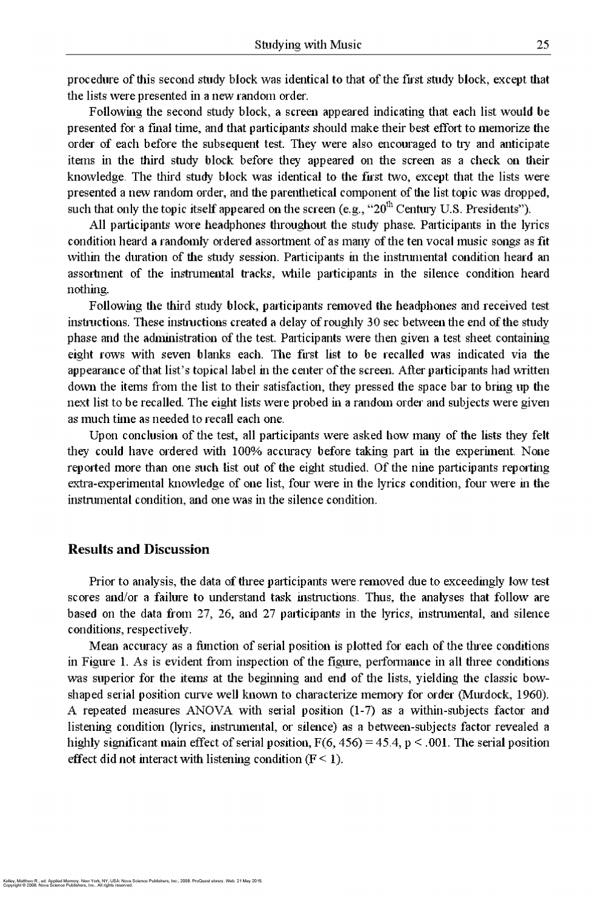procedure of this second study block was identical to that of the first study block, except that the lists were presented in a new random order.

Following the second study block, a screen appeared indicating that each list would be presented for a final time, and that participants should make their best effort to memorize the order of each before the subsequent test. They were also encouraged to try and anticipate items in the third study block before they appeared on the screen as a check on their knowledge. The third study block was identical to the first two, except that the lists were presented a new random order, and the parenthetical component of the list topic was dropped, such that only the topic itself appeared on the screen (e.g., " $20<sup>th</sup>$  Century U.S. Presidents").

All participants wore headphones throughout die study phase. Participants in die lyrics condition heard a randomly ordered assortment of as many of die ten vocal music songs as fit within the duration of the study session. Participants in the instrumental condition heard an assortment of the instrumental tracks, while participants in the silence condition heard nothing.

Mean accuracy as a function of serial position is plotted for each of the diree conditions in Figure 1. As is evident from inspection of die figure, performance in all diree conditions was superior for the items at the beginning and end of the lists, yielding the classic bowshaped serial position curve well known to characterize memory for order (Murdock, 1960). A repeated measures ANOVA with serial position (1-7) as a within-subjects factor and listening condition (lyrics, instrumental, or silence) as a between-subjects factor revealed a highly significant main effect of serial position,  $F(6, 456) = 45.4$ ,  $p \le .001$ . The serial position effect did not interact with listening condition  $(F \le 1)$ .

Following die third study block, participants removed the headphones and received test instructions. These instiuctions created a delay of roughly 30 sec between die end of die study phase and die administration of die test. Participants were dien given a test sheet containing eight rows with seven blanks each. The first list to be recalled was indicated via die appearance of that list's topical label in the center of the screen. After participants had written down the items from the list to their satisfaction, they pressed the space bar to bring up the next list to be recalled. The eight lists were probed in a random order and subjects were given as much time as needed to recall each one.

Upon conclusion of die test, all participants were asked how many of the lists they felt they could have ordered with 100% accuracy before taking part in the experiment. None reported more than one such list out of die eight studied. Of die nine participants reporting extra-experimental knowledge of one list, four were in die lyrics condition, four were in die instrumental condition, and one was in the silence condition.

#### **Results and Discussion**

Prior to analysis, die data of diree participants were removed due to exceedingly low test scores and/or a failure to understand task instructions. Thus, die analyses that follow are based on the data from 27, 26, and 27 participants in the lyrics, instrumental, and silence conditions, respectively.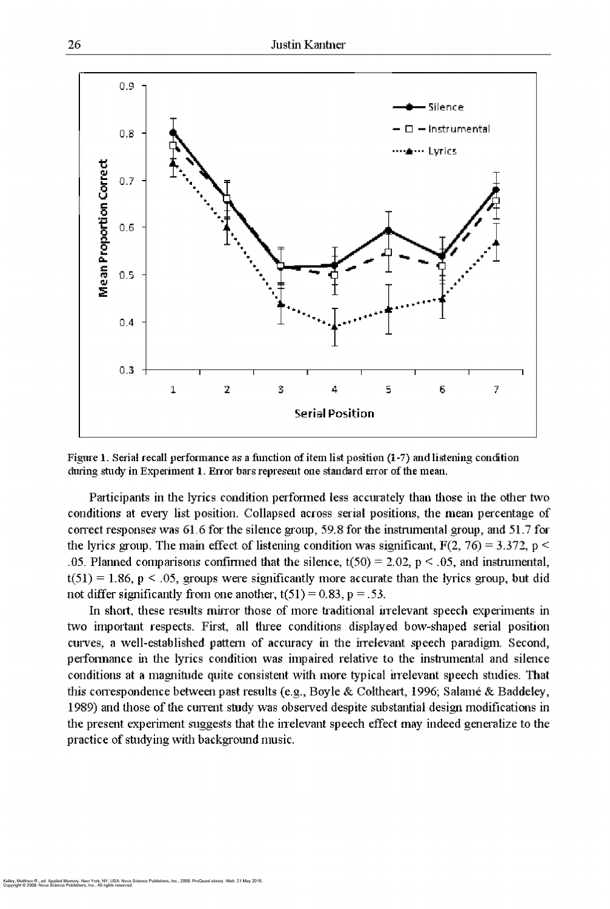Participants in the lyrics condition performed less accurately than those in the other two conditions at every list position. Collapsed across serial positions, the mean percentage of correct responses was 61.6 for the silence group, 59.8 for the instrumental group, and 51.7 for the lyrics group. The main effect of listening condition was significant,  $F(2, 76) = 3.372$ ,  $p <$ 

.05. Planned comparisons confirmed that the silence,  $t(50) = 2.02$ ,  $p < .05$ , and instrumental,  $t(51) = 1.86$ ,  $p \le 0.05$ , groups were significantly more accurate than the lyrics group, but did not differ significantly from one another,  $t(51) = 0.83$ ,  $p = .53$ .



**Figure 1. Serial recall performance as a function of item list position (1-7) and listening condition during study in Experiment 1. Error bars represent one standard error of the mean.**

In short, these results mirror those of more traditional irrelevant speech experiments in two important respects. First, all three conditions displayed bow-shaped serial position curves, a well-established pattern of accuracy in the irrelevant speech paradigm. Second, performance in the lyrics condition was impaired relative to the instrumental and silence conditions at a magnitude quite consistent with more typical irrelevant speech studies. That this correspondence between past results (e.g., Boyle & Coltheart, 1996; Salamé & Baddeley, 1989) and those of the current study was observed despite substantial design modifications in the present experiment suggests that the irrelevant speech effect may indeed generalize to the practice of studying with background music.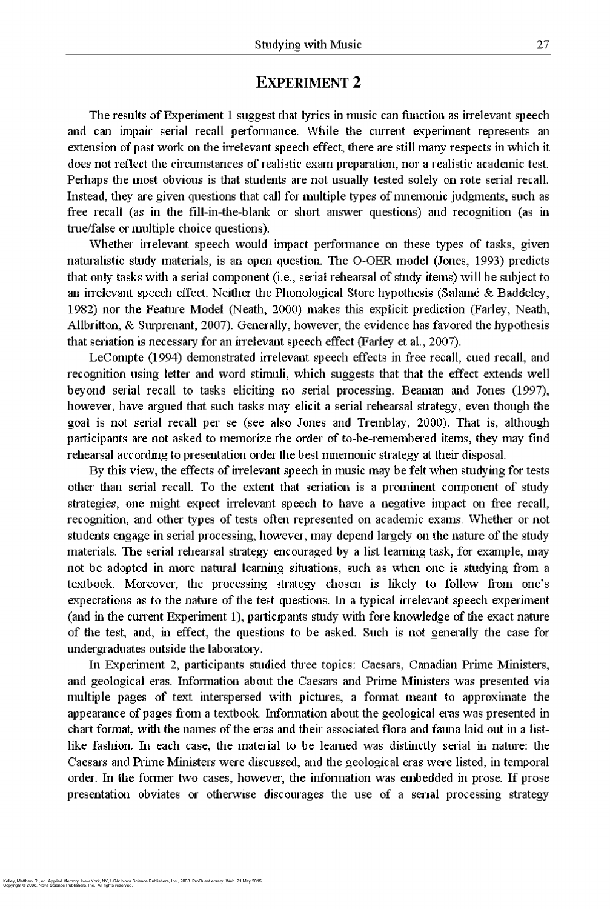#### **EXPERIMENT 2**

The results of Experiment 1 suggest that lyrics in music can function as irrelevant speech and can impair serial recall performance. While the current experiment represents an extension of past work on the irrelevant speech effect, there are still many respects in which it does not reflect the circumstances of realistic exam preparation, nor a realistic academic test. Perhaps the most obvious is that students are not usually tested solely on rote serial recall. Instead, they are given questions that call for multiple types of mnemonic judgments, such as free recall (as in the fill-in-the-blank or short answer questions) and recognition (as in true/false or multiple choice questions).

Whether irrelevant speech would impact performance on these types of tasks, given naturalistic study materials, is an open question. The O-OER model (Jones, 1993) predicts that only tasks with a serial component (i.e., serial rehearsal of study items) will be subject to an irrelevant speech effect. Neither the Phonological Store hypothesis (Salame & Baddeley, 1982) nor the Feature Model (Neath, 2000} makes this explicit prediction (Farley, Neath, Allbritton, & Surprenant, 2007). Generally, however, the evidence has favored the hypothesis that seriation is necessary for an inelevant speech effect (Farley et al., 2007).

LeCompte (1994) demonstrated irrelevant speech effects in free recall, cued recall, and recognition using letter and word stimuli, which suggests that that the effect extends well beyond serial recall to tasks eliciting no serial processing. Beaman and Jones (1997), however, have argued that such tasks may elicit a serial rehearsal strategy, even though the goal is not serial recall per se (see also Jones and Tremblay, 2000). That is, although participants are not asked to memorize the order of to-be-remembered items, they may find rehearsal according to presentation order the best mnemonic strategy at their disposal.

By this view, the effects of irrelevant speech in music may be felt when studying for tests other than serial recall. To the extent that seriation is a prominent component of study strategies, one might expect irrelevant speech to have a negative impact on free recall, recognition, and other types of tests often represented on academic exams. Whether or not students engage in serial processing, however, may depend largely on the nature of the study materials. The serial rehearsal strategy encouraged by a list learning task, for example, may not be adopted in more natural learning situations, such as when one is studying from a textbook. Moreover, the processing strategy chosen is likely to follow from one's expectations as to the nature of the test questions. In a typical irrelevant speech experiment (and in die current Experiment 1), participants study with fore knowledge of the exact nature of the test, and, in effect, the questions to be asked. Such is not generally the case for undergraduates outside the laboratory. In Experiment 2, participants studied three topics: Caesars, Canadian Prime Ministers, and geological eras. Information about die Caesars and Prime Ministers was presented via multiple pages of text interspersed with pictures, a format meant to approximate the appearance of pages from a textbook. Information about the geological eras was presented in chart fonnat, widi the names of die eras and their associated flora and fauna laid out in a listlike fashion. In each case, die material to be learned was distinctly serial in nature: the Caesars and Prime Ministers were discussed, and die geological eras were listed, in temporal order. In the former two cases, however, die information was embedded in prose. If prose presentation obviates or otherwise discourages die use of a serial processing strategy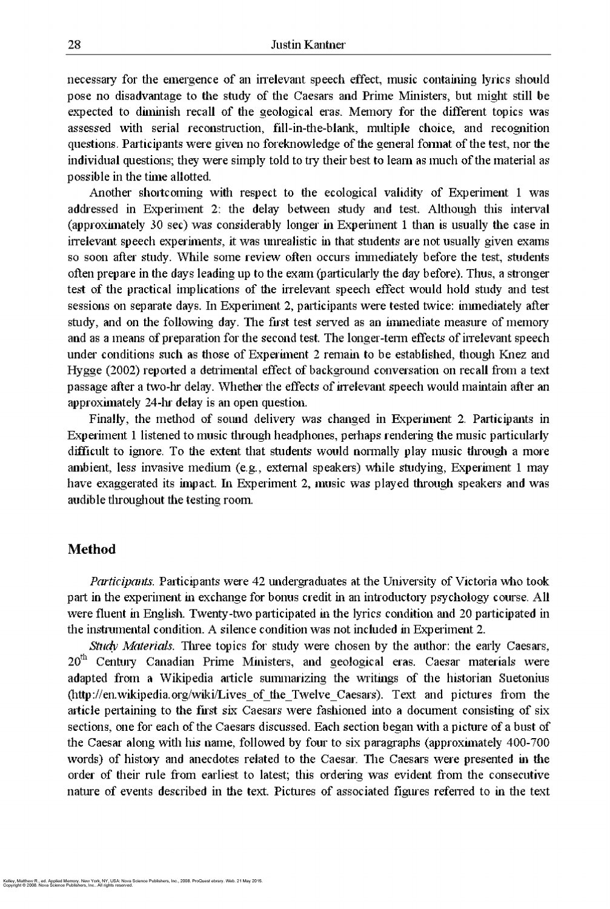necessaiy for the emergence of an irrelevant speech effect, music containing lyrics should pose no disadvantage to the study of the Caesars and Prime Ministers, but might still be expected to diminish recall of the geological eras. Memory for the different topics was assessed with serial reconstruction, fill-in-the-blank, multiple choice, and recognition questions. Participants were given no foreknowledge of the general format of the test, nor the individual questions; they were simply told to try their best to learn as much of the material as possible in the time allotted

Another shortcoming with respect to the ecological validity of Experiment 1 was addressed in Experiment 2: the delay between study and test. Although this interval (approximately 30 sec) was considerably longer in Experiment 1 than is usually the case in irrelevant speech experiments, it was unrealistic in that students are not usually given exams so soon after study. While some review often occurs immediately before the test, students often prepare in die days leading up to the exam (particularly the day before). Thus, a stronger test of the practical implications of the irrelevant speech effect would hold study and test sessions on separate days. In Experiment 2, participants were tested twice: immediately after study, and on the following day. The first test served as an immediate measure of memory and as a means of preparation for the second test. The longer-term effects of irrelevant speech under conditions such as those of Experiment 2 remain to be established, though Knez and Hygge (2002) reported a detrimental effect of background conversation on recall from a text passage after a two-hr delay. Whether die effects of irrelevant speech would maintain after an approximately 24-hr delay is an open question.

Finally, the method of sound delivery was changed in Experiment 2. Participants in Experiment 1 listened to music through headphones, perhaps rendering the music particularly difficult to ignore. To the extent that students would normally play music through a more ambient, less invasive medium (e.g., external speakers) while studying, Experiment 1 may have exaggerated its impact. In Experiment 2, music was played through speakers and was audible throughout the testing room.

#### **Method**

*Participants.* Participants were 42 undergraduates at the University of Victoria who took part in the experiment in exchange for bonus credit in an introductory psychology course. All were fluent in English. Twenty-two participated in the lyrics condition and 20 participated in the instrumental condition. A silence condition was not included in Experiment 2.

*Study Materials.* Three topics for study were chosen by the author: the early Caesars, 20<sup>th</sup> Century Canadian Prime Ministers, and geological eras. Caesar materials were adapted from a Wikipedia article summarizing the writings of the historian Suetonius (http://en.wikipedia.org/wiki/Lives of the Twelve Caesars). Text and pictures from the article pertaining to the first six Caesars were fashioned into a document consisting of six sections, one for each of the Caesars discussed. Each section began with a picture of a bust of the Caesar along with his name, followed by four to six paragraphs (approximately 400-700 words) of histoiy and anecdotes related to the Caesar. The Caesars were presented in the order of their rule from earliest to latest; this ordering was evident from the consecutive nature of events described in the text. Pictures of associated figures referred to in the text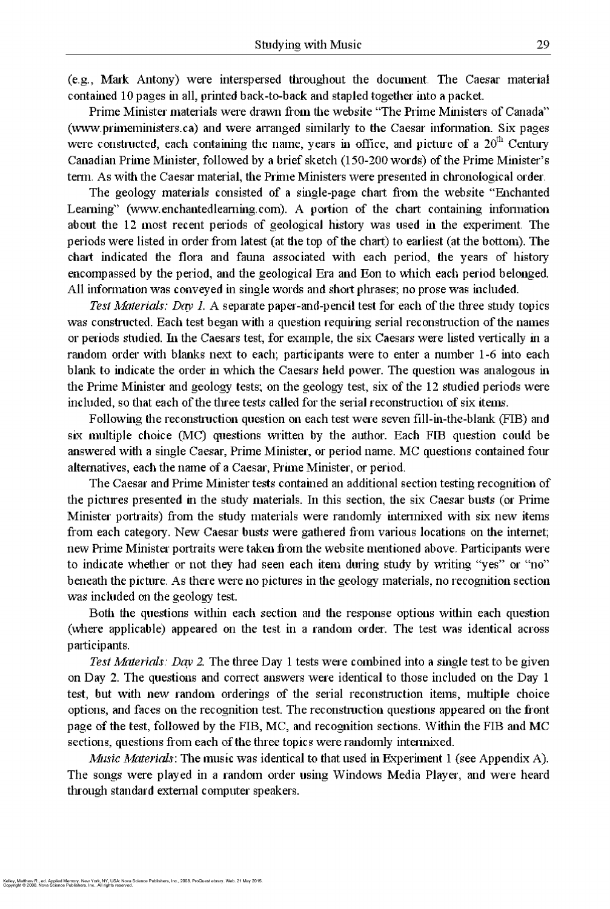(e.g., Mark Antony) were interspersed throughout the document. The Caesar material contained 10 pages in all, printed back-to-back and stapled together into a packet

Prime Minister materials were drawn from the website "The Prime Ministers of Canada" [\(www.primeministers.ca\)](http://www.primeministers.ca) and were arranged similarly to the Caesar information. Six pages were constructed, each containing the name, years in office, and picture of a  $20<sup>th</sup>$  Century Canadian Prime Minister, followed by a brief sketch (150-200 words) of the Prime Minister's term. As with the Caesar material, the Prime Ministers were presented in chronological order.

*Test Materials: Day 1.* A separate paper-and-pencil test for each of the three study topics was constructed. Each test began with a question requiring serial reconstruction of the names or periods studied. In the Caesars test, for example, the six Caesars were listed vertically in a random order with blanks next to each; participants were to enter a number 1-6 into each blank to indicate the order in which the Caesars held power. The question was analogous in the Prime Minister and geology tests; on the geology test, six of the 12 studied periods were included, so that each of the three tests called for the serial reconstruction of six items.

The geology materials consisted of a single-page chart from the website "Enchanted Learning" (www.enchantedlearning.com). A portion of the chart containing information about the 12 most recent periods of geological history was used in the experiment. The periods were listed in order from latest (at the top of the chart) to earliest (at the bottom). The chart indicated the flora and fauna associated with each period, die years of history encompassed by the period, and die geological Era and Eon to which each period belonged. All infonnation was conveyed in single words and short phrases; no prose was included.

*Music Materials:* The music was identical to that used in Experiment 1 (see Appendix A). The songs were played in a random order using Windows Media Player, and were heard dirough standard external computer speakers.

Following the reconstruction question on each test were seven fill-in-the-blank (FIB) and six multiple choice (MC) questions written by the author. Each FIB question could be answered with a single Caesar, Prime Minister, or period name. MC questions contained four alternatives, each the name of a Caesar, Prime Minister, or period.

The Caesar and Prime Minister tests contained an additional section testing recognition of the pictures presented in the study materials. In this section, the six Caesar busts (or Prime Minister portraits) from the study materials were randomly intermixed with six new items from each category. New Caesar busts were gathered from various locations on the internet; new Prime Minister portraits were taken from the website mentioned above. Participants were to indicate whether or not they had seen each item during study by writing "yes" or "no" beneath the picture. As there were no pictures in the geology materials, no recognition section was included on the geology test.

Both the questions within each section and the response options within each question (where applicable) appeared on the test in a random order. The test was identical across participants.

*Test Materials: Day 2.* The three Day 1 tests were combined into a single test to be given on Day 2. The questions and correct answers were identical to those included on the Day 1 test, but with new random orderings of the serial reconstruction items, multiple choice options, and faces on die recognition test. The reconstruction questions appeared on the front page of the test, followed by die FIB, MC, and recognition sections. Within die FIB and MC sections, questions from each of the diree topics were randomly intermixed.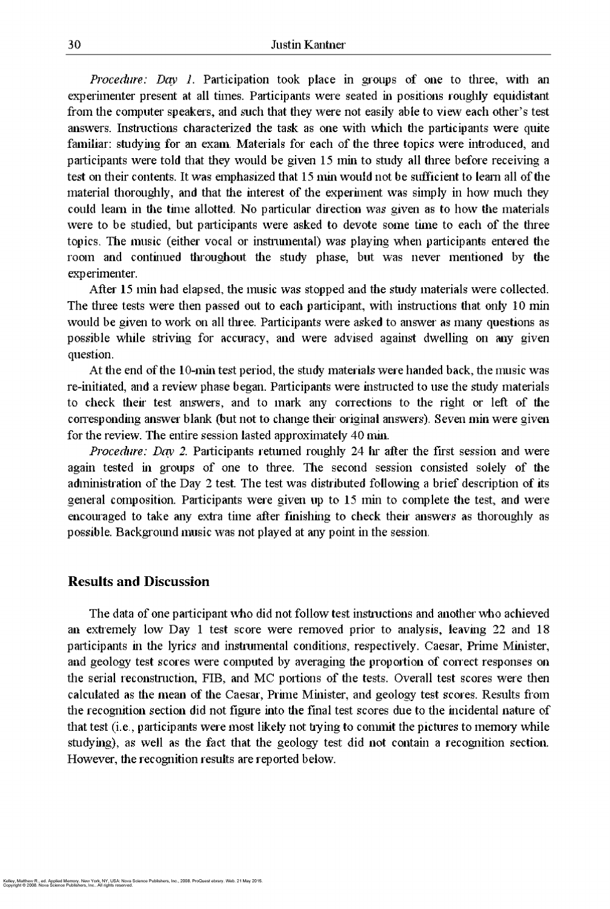*Procedure: Day 1.* Participation took place in groups of one to three, with an experimenter present at all times. Participants were seated in positions roughly equidistant from the computer speakers, and such that they were not easily able to view each other's test answers. Instructions characterized the task as one with which the participants were quite familiar: studying for an exam. Materials for each of die three topics were introduced, and participants were told that they would be given 15 min to study all three before receiving a test on their contents. It was emphasized that 15 min would not be sufficient to learn all of die material thoroughly, and that the interest of the experiment was simply in how much they could leam in the time allotted. No particular direction was given as to how the materials were to be studied, but participants were asked to devote some time to each of the diree topics. The music (either vocal or instrumental) was playing when participants entered die room and continued throughout die study phase, but was never mentioned by the experimenter.

*Procedure: Day 2.* Participants returned roughly 24 hr after the first session and were again tested in groups of one to three. The second session consisted solely of the administration of the Day 2 test. The test was distributed following a brief description of its general composition. Participants were given up to 15 min to complete the test, and were encouraged to take any extra time after finishing to check their answers as thoroughly as possible. Background music was not played at any point in the session.

The data of one participant who did not follow test instructions and anodier who achieved an extremely low Day 1 test score were removed prior to analysis, leaving 22 and 18 participants in the lyrics and instrumental conditions, respectively. Caesar, Prime Minister, and geology test scores were computed by averaging the proportion of correct responses on the serial reconstruction, FIB, and MC portions of the tests. Overall test scores were then calculated as the mean of the Caesar, Prime Minister, and geology test scores. Results from the recognition section did not figure into the final test scores due to the incidental nature of that test (i.e., participants were most likely not trying to commit the pictures to memory while studying), as well as the fact that the geology test did not contain a recognition section. However, the recognition results are reported below.

After 15 min had elapsed, the music was stopped and the study materials were collected. The three tests were then passed out to each participant, with instructions that only 10 min would be given to work on all diree. Participants were asked to answer as many questions as possible while striving for accuracy, and were advised against dwelling on any given question.

At die end of die 10-min test period, the study materials were handed back, die music was re-initiated, and a review phase began. Participants were instructed to use the study materials to check their test answers, and to mark any corrections to the right or left of the corresponding answer blank (but not to change their original answers). Seven min were given for the review. The entire session lasted approximately 40 min.

#### **Results and Discussion**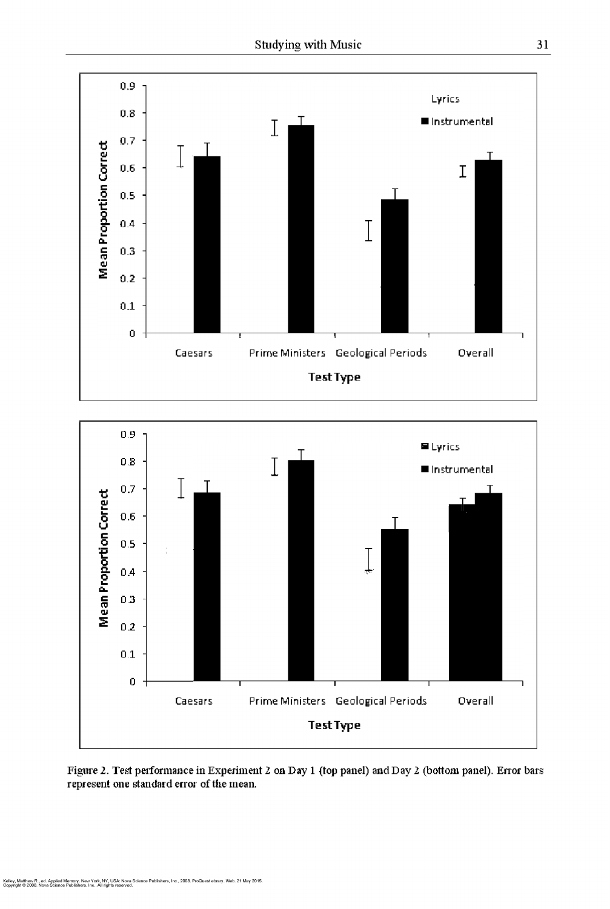



**Figure 2. Test performance in Experiment 2 on Day 1 {top panel) and Day 2 (bottom panel). Error bars represent one standard error of the mean.**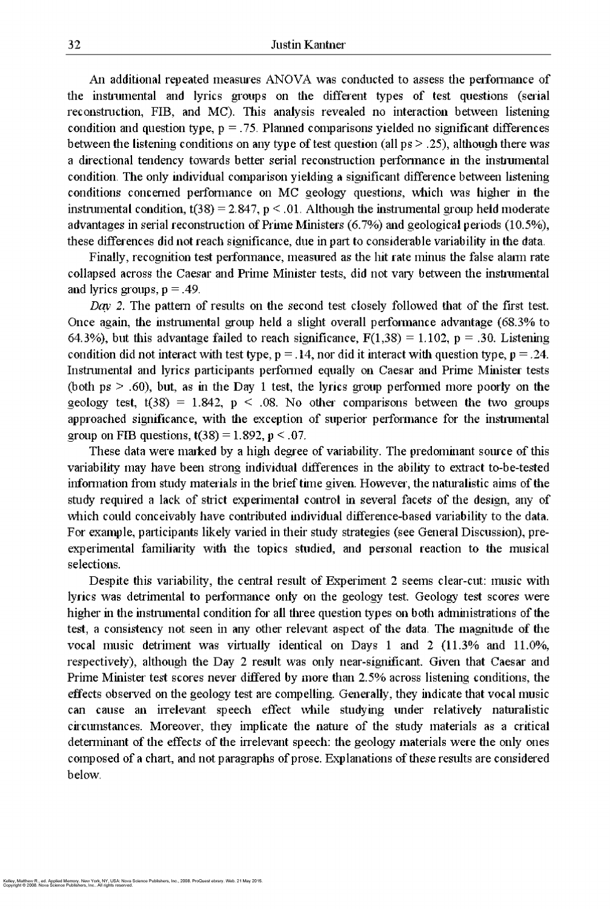Finally, recognition test performance, measured as the hit rate minus the false alarm rate collapsed across the Caesar and Prime Minister tests, did not vary between the instrumental and lyrics groups,  $p = .49$ .

An additional repeated measures ANOVA was conducted to assess the performance of the instrumental and lyrics groups on the different types of test questions (serial reconstruction, FIB, and MC). This analysis revealed no interaction between listening condition and question type,  $p = 0.75$ . Planned comparisons yielded no significant differences between the listening conditions on any type of test question (all ps > .25), although there was a directional tendency towards better serial reconstruction performance in the instrumental condition. The only individual comparison yielding a significant difference between listening conditions concerned performance on MC geology questions, which was higher in the instrumental condition,  $t(38) = 2.847$ ,  $p \le 0.01$ . Although the instrumental group held moderate advantages in serial reconstruction of Prime Ministers (6.7%) and geological periods (10.5%), these differences did not reach significance, due in part to considerable variability in the data.

*Day 2.* The pattern of results on the second test closely followed that of the first test. Once again, the instrumental group held a slight overall performance advantage (68.3% to 64.3%), but this advantage failed to reach significance,  $F(1,38) = 1.102$ ,  $p = .30$ . Listening condition did not interact with test type,  $p = 0.14$ , nor did it interact with question type,  $p = 0.24$ . Instrumental and lyrics participants performed equally on Caesar and Prime Minister tests (both  $ps > .60$ ), but, as in the Day 1 test, the lyrics group performed more poorly on the geology test,  $t(38) = 1.842$ ,  $p < .08$ . No other comparisons between the two groups approached significance, with the exception of superior performance for the instrumental group on FIB questions,  $t(38) = 1.892$ ,  $p \le .07$ .

These data were marked by a high degree of variability. The predominant source of this variability may have been strong individual differences in the ability to extract to-be-tested information from study materials in the brief time given. However, the naturalistic aims of the study required a lack of strict experimental control in several facets of die design, any of which could conceivably have contributed individual difference-based variability to the data. For example, participants likely varied in dieir study strategies (see General Discussion), preexperimental familiarity with the topics studied, and personal reaction to the musical selections. Despite this variability, the central result of Experiment 2 seems clear-cut: music with lyrics was detrimental to performance only on the geology test. Geology test scores were higher in the instrumental condition for all three question types on both administrations of the test, a consistency not seen in any odier relevant aspect of the data. The magnitude of die vocal music detriment was virtually identical on Days 1 and 2 (11.3% and 11.0%, respectively), although the Day 2 result was only near-significant. Given that Caesar and Prime Minister test scores never differed by more than 2.5% across listening conditions, the effects observed on die geology test are compelling. Generally, they indicate that vocal music can cause an irrelevant speech effect while studying under relatively naturalistic circumstances. Moreover, diey implicate die nature of die study materials as a critical determinant of the effects of the irrelevant speech: the geology materials were the only ones composed of a chart, and not paragraphs of prose. Explanations of these results are considered below.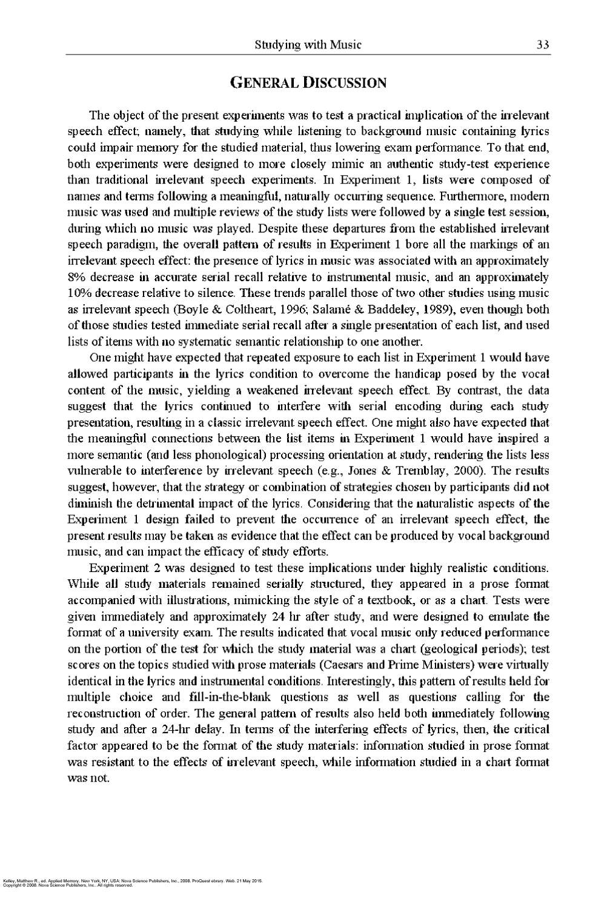## **GENERAL DISCUSSION**

The object of the present experiments was to test a practical implication of the irrelevant speech effect; namely, that studying while listening to background music containing lyrics could impair memory for the studied material, thus lowering exam performance. To that end, both experiments were designed to more closely mimic an authentic study-test experience than traditional irrelevant speech experiments. In Experiment 1, lists were composed of names and terms following a meaningful, naturally occurring sequence. Furthermore, modem music was used and multiple reviews of the study lists were followed by a single test session, during which no music was played. Despite these departures from the established irrelevant speech paradigm, the overall pattern of results in Experiment 1 bore all the markings of an irrelevant speech effect: the presence of lyrics in music was associated with an approximately 8% decrease in accurate serial recall relative to instrumental music, and an approximately 10% decrease relative to silence. These trends parallel those of two other studies using music as irrelevant speech (Boyle & Coltheart, 1996; Salame & Baddeley, 1989), even though both of those studies tested immediate serial recall after a single presentation of each list, and used lists of items with no systematic semantic relationship to one another.

One might have expected that repeated exposure to each list in Experiment 1 would have allowed participants in the lyrics condition to overcome the handicap posed by the vocal content of die music, yielding a weakened irrelevant speech effect. By contrast, die data suggest diat the lyrics continued to interfere with serial encoding during each study presentation, resulting in a classic irrelevant speech effect. One might also have expected that the meaningful connections between the list items in Experiment 1 would have inspired a more semantic (and less phonological) processing orientation at study, rendering die lists less vulnerable to interference by irrelevant speech (e.g., Jones & Tremblay, 2000). The results suggest, however, diat die strategy or combination of strategies chosen by participants did not diminish die detrimental impact of die lyrics. Considering that die naturalistic aspects of the Experiment 1 design failed to prevent die occurrence of an irrelevant speech effect, die present results may be taken as evidence diat die effect can be produced by vocal background music, and can impact the efficacy of study efforts. Experiment 2 was designed to test diese implications under highly realistic conditions. While all study materials remained serially structured, diey appeared in a prose format accompanied widi illustrations, mimicking die style of a textbook, or as a chart. Tests were given immediately and approximately 24 lir after study, and were designed to emulate the format of a university exam. The results indicated diat vocal music only reduced performance on die portion of die test for which die study material was a chart (geological periods); test scores on the topics studied with prose materials (Caesars and Prime Ministers) were virtually identical in the lyrics and instrumental conditions. Interestingly, this pattern of results held for multiple choice and fill-in-the-blank questions as well as questions calling for the reconstruction of order. The general pattern of results also held both immediately following study and after a 24-hr delay. In terms of die interfering effects of lyrics, dien, the critical factor appeared to be the format of the study materials: information studied in prose format was resistant to the effects of irrelevant speech, while information studied in a chart format was not.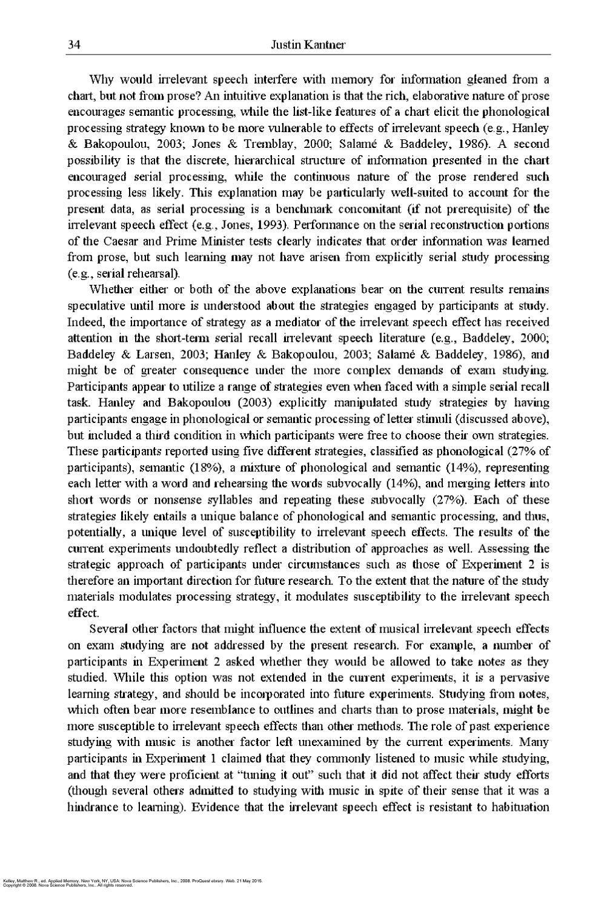Whether either or both of the above explanations bear on the current results remains speculative until more is understood about the strategies engaged by participants at study. Indeed, die importance of strategy as a mediator of the irrelevant speech effect has received attention in the short-term serial recall irrelevant speech literature (e.g., Baddeley, 2000; Baddeley & Larsen, 2003; Hanley & Bakopoulou, 2003; Salame & Baddeley, 1986), and might be of greater consequence under the more complex demands of exam studying. Participants appear to utilize a range of strategies even when faced widi a simple serial recall task. Hanley and Bakopoulou (2003) explicitly manipulated study strategies by having participants engage in phonological or semantic processing of letter stimuli (discussed above), but included a third condition in which participants were free to choose their own strategies. These participants reported using five different strategies, classified as phonological (27% of participants), semantic (18%), a mixture of phonological and semantic (14%), representing each letter with a word and rehearsing the words subvocally (14%), and merging letters into short words or nonsense syllables and repeating these sub vocally (27%). Each of these strategies likely entails a unique balance of phonological and semantic processing, and thus, potentially, a unique level of susceptibility to irrelevant speech effects. The results of the current experiments undoubtedly reflect a distribution of approaches as well. Assessing the strategic approach of participants under circumstances such as those of Experiment 2 is therefore an important direction for future research. To the extent that the nature of the study materials modulates processing strategy, it modulates susceptibility to die irrelevant speech effect. Several other factors that might influence the extent of musical iirelevant speech effects on exam studying are not addressed by the present research. For example, a number of participants in Experiment 2 asked whether they would be allowed to take notes as they studied. While this option was not extended in the current experiments, it is a pervasive learning strategy, and should be incorporated into future experiments. Studying from notes, which often bear more resemblance to outlines and charts than to prose materials, might be more susceptible to irrelevant speech effects than other methods. The role of past experience studying with music is another factor left unexamined by the current experiments. Many participants in Experiment 1 claimed that they commonly listened to music while studying, and that they were proficient at "tuning it out" such that it did not affect their study efforts (though several others admitted to studying with music in spite of their sense that it was a hindrance to learning). Evidence that the irrelevant speech effect is resistant to habituation

Why would irrelevant speech interfere with memory for information gleaned from a chart, but not from prose? An intuitive explanation is that the rich, elaborative nature of prose encourages semantic processing, while the list-like features of a chart elicit the phonological processing strategy known to be more vulnerable to effects of irrelevant speech (e.g., Hanley & Bakopoulou, 2003; Jones & Tremblay, 2000; Salame & Baddeley, 1986). A second possibility is that the discrete, hierarchical structure of information presented in die chart encouraged serial processing, while the continuous nature of the prose rendered such processing less likely. This explanation may be particularly well-suited to account for the present data, as serial processing is a benchmark concomitant (if not prerequisite) of the irrelevant speech effect (e.g., Jones, 1993), Performance on the serial reconstruction portions of the Caesar and Prime Minister tests clearly indicates that order information was learned from prose, but such learning may not have arisen from explicitly serial study processing (e g., serial rehearsal).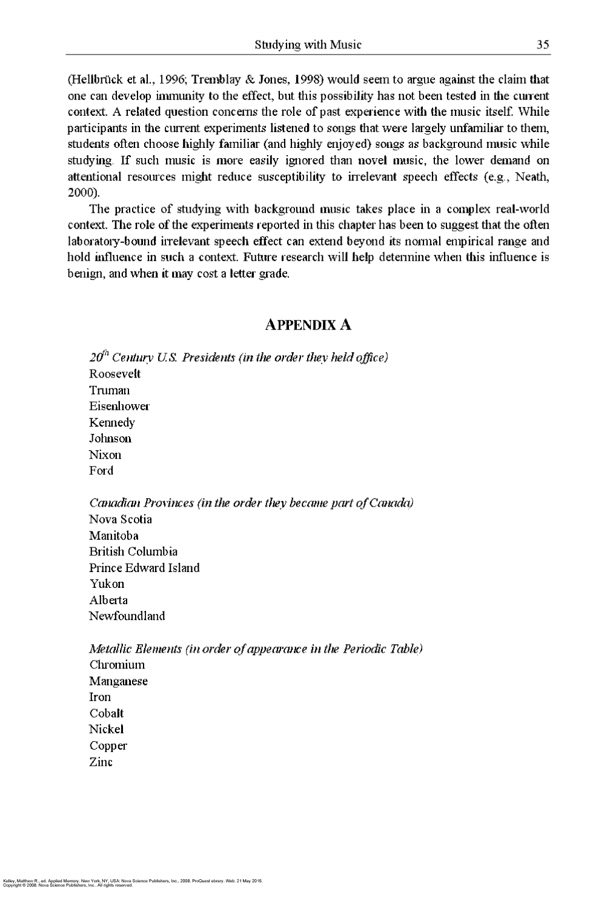(Hellbrück et al., 1996; Tremblay & Jones, 1998) would seem to argue against the claim that one can develop immunity to the effect, but this possibility has not been tested in the current context. A related question concerns the role of past experience with the music itself. While participants in the current experiments listened to songs that were largely unfamiliar to diem, students often choose highly familiar (and highly enjoyed) songs as background music while studying. If such music is more easily ignored than novel music, the lower demand on attentional resources might reduce susceptibility to irrelevant speech effects (e.g., Neath, **2000**).

The practice of studying with background music takes place in a complex real-world context. The role of die experiments reported in this chapter has been to suggest diat die often laboratory-bound irrelevant speech effect can extend beyond its normal empirical range and hold influence in such a context. Future research will help determine when this influence is benign, and when it may cost a letter grade.

# **APPENDIX** A

20<sup>th</sup> Century U.S. Presidents (in the order they held office) Roosevelt Truman Eisenhower Kennedy Johnson Nixon Ford

*Canadian Provinces (in the order they became part of Canada)* Nova Scotia Manitoba British Columbia Prince Edward Island Yukon Alberta Newfoundland

*Metallic Elements (in order of appearance in the Periodic Table)* **Chromium** Manganese Iron Cobalt Nickel Copper

Zinc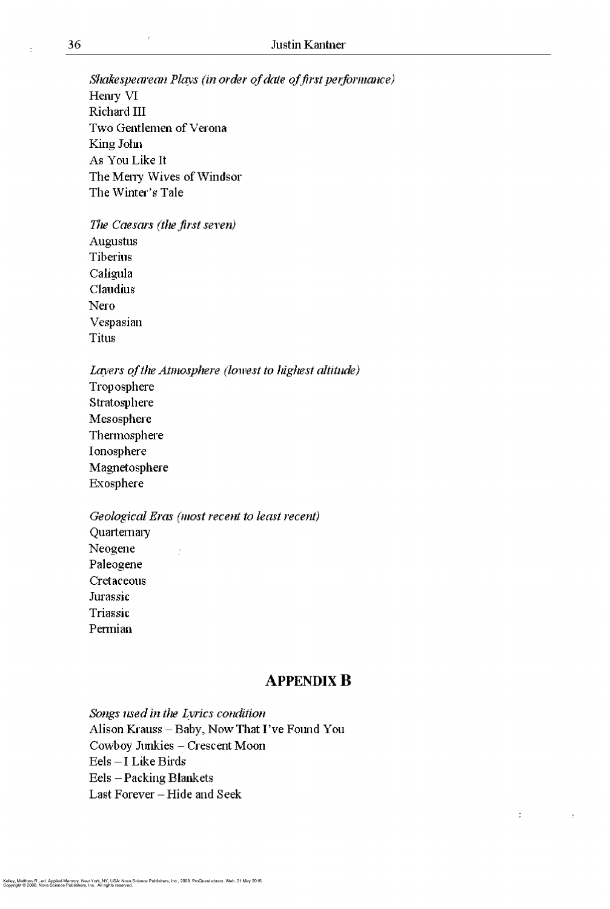*Shakespearean Plays (in order of date of first performance)* Hemy VI Richard III Two Gentlemen of Verona King Jolm As You Like It The Merry Wives of Windsor The Winter's Tale

Layers of the Atmosphere (lowest to highest altitude) Troposphere Stratosphere Mesosphere Thermosphere Ionosphere Magnetosphere Exosphere

*Geological Eras (most recent to least recent)* Quarternary Neogene in the set of the set of the set of the set of the set of the set of the set of the set of the set of the set of the set of the set of the set of the set of the set of the set of the set of the set of the set of th

 $\mathbb{D}$ 

*The Caesars (the first seven)* Augustus Tiberius Caligula Claudius Nero Vespasian Titus

*Songs used in the Lyrics condition* Alison Krauss - Baby, Now That I've Found You Cowboy Junkies - Crescent Moon Eels-I Like Birds Eels - Packing Blankets Last Forever - Hide and Seek

Paleogene Cretaceous Jurassic Triassic Permian

# **APPENDIX B**

 $\frac{\pi}{\pi}$ 

 $\langle \mathbb{T} \rangle$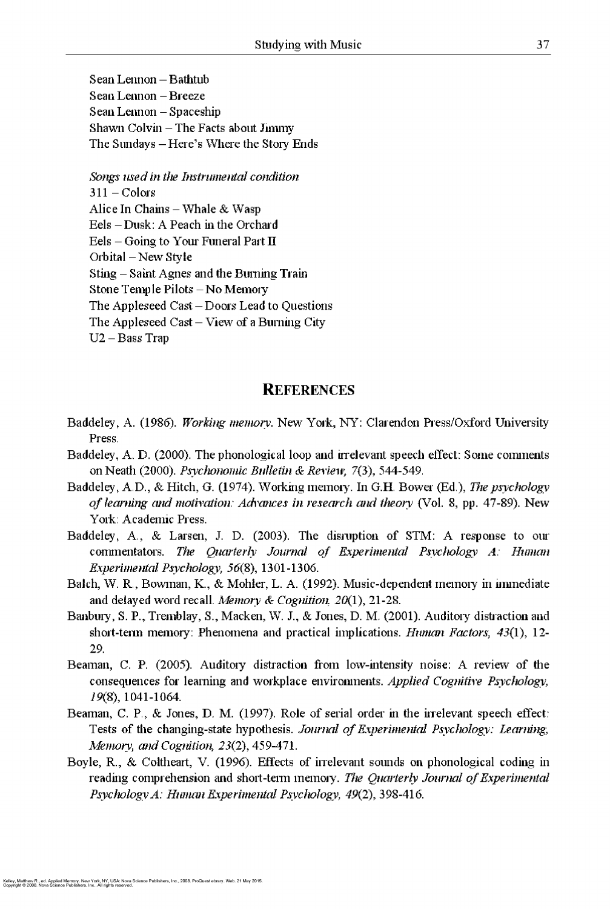Sean Lennon - Bathtub Sean Lennon - Breeze Sean Lennon - Spaceship Shawn  $\text{Colvin} - \text{The Facts about Jimmy}$ The Sundays — Here's Where the Story Ends

*Songs used in die Instrumental condition*  $311 - \text{Colors}$ Alice In Chains - Whale  $&$  Wasp Eels - Dusk: A Peach in the Orchard Eels - Going to Your Funeral Part  $\Pi$ Orbital - New Style Sting - Saint Agnes and the Burning Train Stone Temple Pilots - No Memory The Appleseed Cast - Doors Lead to Questions The Appleseed Cast  $-$  View of a Burning City U2 - Bass Trap

## **REFERENCES**

commentators. *The Quarterly Journal of Experimental Psychology A: Human Experimental Psychology, 56(*8), 1301-1306.

- Baddeley, A. (1986). *Working memory.* New York, NY: Clarendon Press/Oxford University Press.
- Baddeley, A. D. (2000). The phonological loop and irrelevant speech effect: Some comments on Neath (2000). *Psychonomic Bulletin & Review* 7(3), 544-549.
- Baddeley, A.D., & Hitch, G. (1974). Working memory. In G.H. Bower (Ed), *The psychology* of learning and motivation: Advances in research and theory (Vol. 8, pp. 47-89). New York: Academic Press.
- Baddeley, A., & Larsen, J. D. (2003). The disruption of STM: A response to our

- Balch, W. R , Bowman, K., & Mohier, L. A. (1992). Music-dependent memory in immediate and delayed word recall. *Memory & Cognition*, 20(1), 21-28.
- Banbury, S. P., Tremblay, S., Macken, W. J., & Jones, D. M, (2001). Auditory distraction and short-term memory: Phenomena and practical implications. *Human Factors\ 43(1),* 12 29.
- Beaman, C. P. (2005). Auditory distraction from low-intensity noise: A review of the consequences for learning and workplace environments. *Applied Cognitive Psychology*, 79(8), 1041-1064.
- Beaman, C. P., & Jones, D. M. (1997). Role of serial order in the irrelevant speech effect: Tests of the changing-state hypothesis. *Journal of Experimental Psychology: Learning*, *Memoty*, *and Cognition, 23(2),* 459-471.
- Boyle, R., & Coltheart, V. (1996). Effects of irrelevant sounds on phonological coding in reading comprehension and short-term memory. The Quarterly Journal of Experimental *Psychology A : Human Experimental Psychology, 49(2),* 398-416.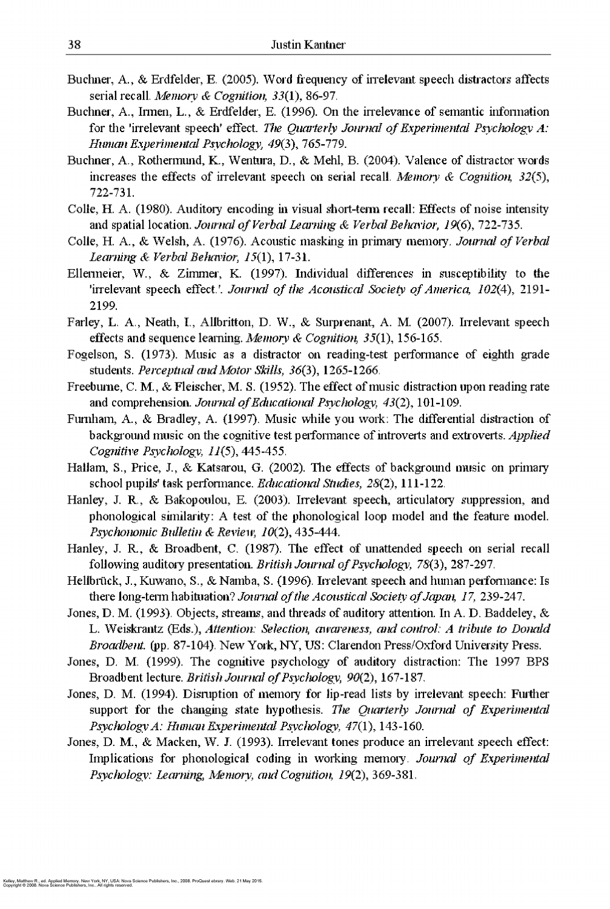- Buchner, A., & Erdfelder, E. (2005). Word frequency of irrelevant speech distractors affects serial recall. *Memory & Cognition*, 33(1), 86-97.
- Buchner, A., Irmen, L., & Erdfelder, E. (1996). On the irrelevance of semantic information for the 'irrelevant speech' effect. The Quarterly Journal of Experimental Psychology A: *Human Experimental Psychology,* 49(3), 765-779.
- Buchner, A., Rothermund, K., Wentura, D., & Mehl, B. (2004). Valence of distractor words increases the effects of irrelevant speech on serial recall. *Memory & Cognition*, 32(5), 722-731.
- Colie, H. A. (1980). Auditory encoding in visual short-term recall: Effects of noise intensity and spatial location. *Journal of Verbal Learning* & *Verbal Behavior*, 19(6), 722-735.
- Colle, H. A., & Welsh, A. (1976). Acoustic masking in primary memory. *Journal of Verbal Learning & Verbal Behavior, 15(1), 17-31.*
- Ellemneier, W., & Zimmer, K. (1997). Individual differences in susceptibility to the 'irrelevant speech effect.'. *Journal of the Acoustical Society of America, 102(4)*, 2191-2199.
- Farley, L, A., Neath, I., Allbritton, D. W., & Surprenant, A. M. (2007). Irrelevant speech effects and sequence learning. *Memory* & *Cognition*, 35(1), 156-165.
- Fogelson, S. (1973). Music as a distractor on reading-test performance of eighth grade students. *Perceptual and Motor Skills,* 36(3), 1265-1266.
- Freeburne, C. M., & Fleischer, M. S. (1952). The effect of music distraction upon reading rate and comprehension. *Journal of Educational Psychology*, 43(2), 101-109.
- Furnham, A., & Bradley, A. (1997). Music while you work: The differential distraction of background music on the cognitive test performance of introverts and extroverts. *Applied Cognitive Psychology, 11(5),* 445-455.
- Hallam, S., Price, J., *Sc* Katsarou, G. (2002). The effects of background music on primary school pupils' task performance. *Educatiojial Studies, 28(2),* 111-122.
- Hanley, J. R., & Bakopoulou, E. (2003). Irrelevant speech, articulatory suppression, and phonological similarity: A test of the phonological loop model and the feature model. *Psychonomic Bulletin & Review, 10(2),* 435-444.
- 
- Hanley, J. R., & Broadbent, C. (1987). The effect of unattended speech on serial recall following auditory presentation. *British Journal of Psychology*, 78(3), 287-297.
- Hellbrück, J., Kuwano, S., & Namba, S. (1996). Irrelevant speech and human performance: Is there long-term habituation? *Journal of the Acoustical Society of Japan, 17, 239-247*.
- Jones, D. M. (1993). Objects, streams, and threads of auditory attention. In A. D. Baddeley, & L. Weiskrantz (Eds.), *Attention: Selection, avareness, and control: A tribute to Donald* 
	- *Broadbent.* (pp. 87-104). New York, NY, US: Clarendon Press/Oxford University Press.
- Jones, D. M. (1999). The cognitive psychology of auditory distraction: The 1997 BPS Broadbent lecture. *British Journal of Psychology*, 90(2), 167-187.
- Jones, D. M. (1994). Disruption of memory for lip-read lists by irrelevant speech: Further support for the changing state hypothesis. The Quarterly Journal of Experimental *Psychology A: Human Experimental Psychology,* 47(1), 143-160.
- Jones, D. M., & Macken, W. J. (1993). Irrelevant tones produce an irrelevant speech effect: Implications for phonological coding in working memory. *Journal of Experimental Psychology: Learning, Memory, atid Cognition, 19(2),* 369-381,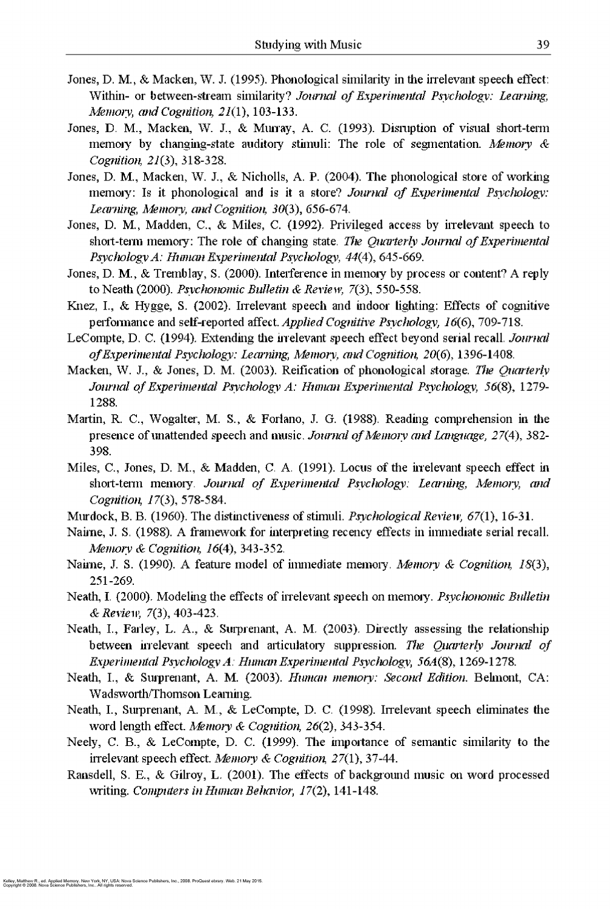- Jones, D. M., & Macken, W. J. (1995). Phonological similarity in the irrelevant speech effect: Within- or between-stream similarity? *Journal of Experimental Psychology: Learning*, *Memory, cmdCognition, 21(1),* 103-133.
- Jones, D. M., Macken, W. J., & Murray, A. C. (1993). Disruption of visual short-term memoiy by changing-state auditory stimuli: The role of segmentation. *Memory & Cognition,* 27(3), 318-328.
- Jones, D. M., Macken, W. J., & Nicholls, A. P. (2004). The phonological store of working memory: Is it phonological and is it a store? *Journal of Experimental Psychology*: *Learning*; *Memory*, *and Cognition, 30(*3), 656-674.
- Jones, D. M., Madden, C., & Miles, C. (1992). Privileged access by irrelevant speech to short-term memory: The role of changing state. *The Quarterly Journal of Experimental Psychology A: Human Experimental Psychology, 44(4),* 645-669.
- Jones, D. M., & Tremblay, S. (2000). Interference in memory by process or content? A reply to Neath (2000). *Psychonomic Bulletin & Review,* 7(3), 550-558.
- Knez, I., & Hygge, S. (2002). Irrelevant speech and indoor lighting: Effects of cognitive perfomiance and self-reported affect. *AppliedCognitive Psychology,* 76(6), 709-718.
- LeCoinpte, D. C. (1994). Extending the inelevant speech effect beyond serial recall. *Journal* of Experimental Psychology: Learning, Memory, and Cognition, 20(6), 1396-1408.
- Macken, W. J., & Jones, D. M. (2003). Reification of phonological storage. *The Quarterly Journal of Experimental Psychology A: Human Experimental Psychology, 56(8), 1279-*1288.
- Martin, R. C., Wogalter, M. S., & Foriano, J. G. (1988). Reading comprehension in the presence of unattended speech and music. *Journal of Memory and Language*, 27(4), 382-398.
- Miles, C., Jones, D. M., & Madden, C. A. (1991). Locus of the irrelevant speech effect in short-term memory. *Journal of Experimental Psychology: Learning, Memory, and Cognition,* 77(3), 578-584.
- Murdock, B. B. (1960). The distinctiveness of stimuli. *Psychological Review,* 67(1), 16-31.
- Naime, J. S. (1988). A framework for interpreting recency effects in immediate serial recall. *Memory* & *Cognition, 16(4)*, 343-352.

- Naime, J. S. (1990). A feature model of immediate memory. *Memory & Cognition, 18*(3), 251-269.
- Neath, I. (2000). Modeling the effects of irrelevant speech on memoiy. *Psychonomic Bulletin & Review,* 7(3), 403-423.
- Neath, I., Farley, L. A., & Surprenant, A. M. (2003). Directly assessing the relationship between irrelevant speech and articulatory suppression. *The Quarterly Journal of Experimental Psychology A: Human Experimental Psychology?,* 564(8), 1269-1278.
- Neath, I., & Surprenant, A. M. (2003). *Human memory: Second Edition.* Belmont, CA: Wadsworth/Thomson Learning.
- Neath, I., Surprenant, A. M., & LeCompte, D. C. (1998). Irrelevant speech eliminates the word length effect. *Memory* & *Cognition*, 26(2), 343-354.
- Neely, C. B., & LeCompte, D. C. (1999). The importance of semantic similarity to the irrelevant speech effect. *Memoiy & Cognition,* 27(1), 37-44.
- Ransdell, S. E., & Gilroy, L. (2001). The effects of background music on word processed writing. *Computers in Human Behavior*, 17(2), 141-148.